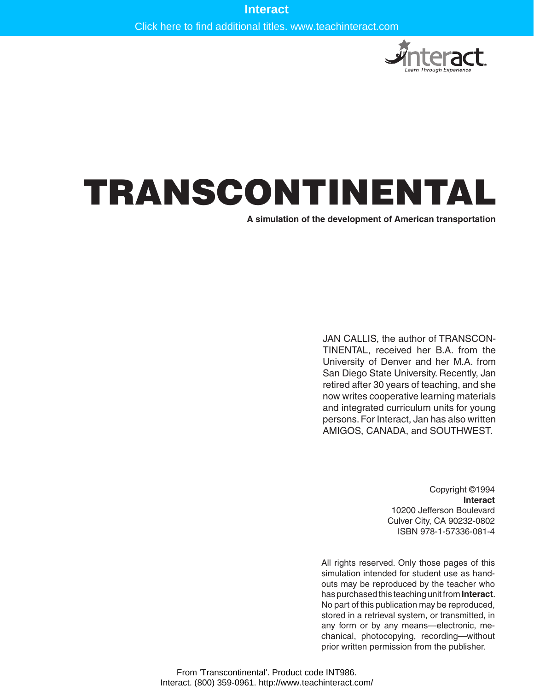Click here to find additional titles. www.teachinteract.com



# TRANSCONTINENTAL

**A simulation of the development of American transportation**

JAN CALLIS, the author of TRANSCON-TINENTAL, received her B.A. from the University of Denver and her M.A. from San Diego State University. Recently, Jan retired after 30 years of teaching, and she now writes cooperative learning materials and integrated curriculum units for young persons. For Interact, Jan has also written AMIGOS, CANADA, and SOUTHWEST.

> Copyright ©1994 **Interact** 10200 Jefferson Boulevard Culver City, CA 90232-0802 ISBN 978-1-57336-081-4

All rights reserved. Only those pages of this simulation intended for student use as handouts may be reproduced by the teacher who has purchased this teaching unit from **Interact**. No part of this publication may be reproduced, stored in a retrieval system, or transmitted, in any form or by any means—electronic, mechanical, photocopying, recording—without prior written permission from the publisher.

From 'Transcontinental'. Product code INT986. Interact. (800) 359-0961. http://www.teachinteract.com/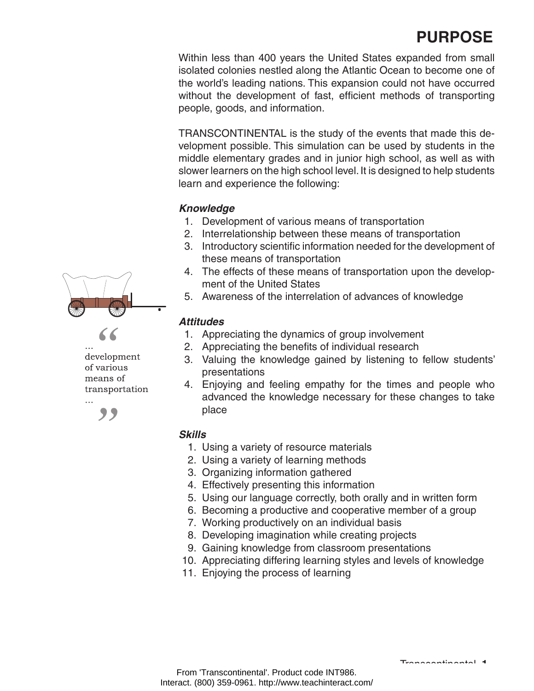# **PURPOSE**

Within less than 400 years the United States expanded from small isolated colonies nestled along the Atlantic Ocean to become one of the world's leading nations. This expansion could not have occurred without the development of fast, efficient methods of transporting people, goods, and information.

TRANSCONTINENTAL is the study of the events that made this development possible. This simulation can be used by students in the middle elementary grades and in junior high school, as well as with slower learners on the high school level. It is designed to help students learn and experience the following:

#### *Knowledge*

- 1. Development of various means of transportation
- 2. Interrelationship between these means of transportation
- 3. Introductory scientific information needed for the development of these means of transportation
- 4. The effects of these means of transportation upon the development of the United States
- 5. Awareness of the interrelation of advances of knowledge

#### *Attitudes*

- 1. Appreciating the dynamics of group involvement
- 2. Appreciating the benefits of individual research
- 3. Valuing the knowledge gained by listening to fellow students' presentations
- 4. Enjoying and feeling empathy for the times and people who advanced the knowledge necessary for these changes to take place

#### *Skills*

- 1. Using a variety of resource materials
- 2. Using a variety of learning methods
- 3. Organizing information gathered
- 4. Effectively presenting this information
- 5. Using our language correctly, both orally and in written form
- 6. Becoming a productive and cooperative member of a group
- 7. Working productively on an individual basis
- 8. Developing imagination while creating projects
- 9. Gaining knowledge from classroom presentations
- 10. Appreciating differing learning styles and levels of knowledge
- 11. Enjoying the process of learning



development of various means of transportation  $\dddotsc$ 



Transcontinental **1**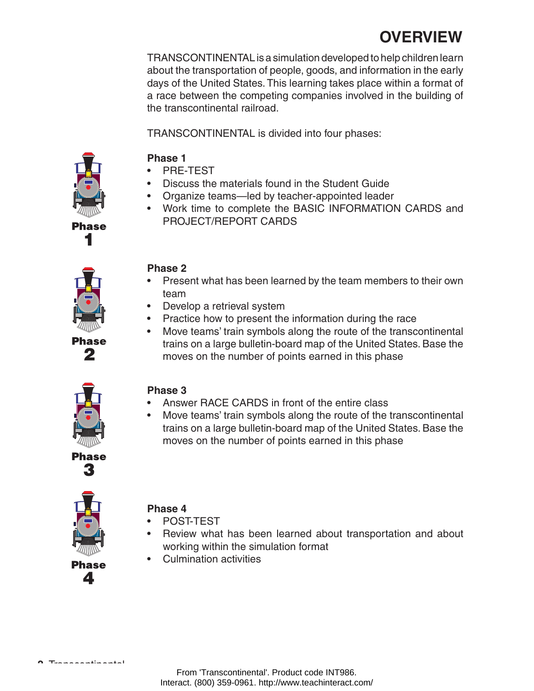# **OVERVIEW**

TRANSCONTINENTAL is a simulation developed to help children learn about the transportation of people, goods, and information in the early days of the United States. This learning takes place within a format of a race between the competing companies involved in the building of the transcontinental railroad.

TRANSCONTINENTAL is divided into four phases:



**Phase 1** 

- PRE-TEST
- **Discuss the materials found in the Student Guide**
- Organize teams—led by teacher-appointed leader
- Work time to complete the BASIC INFORMATION CARDS and PROJECT/REPORT CARDS



Phase 2

### **Phase 2**

- Present what has been learned by the team members to their own team
- Develop a retrieval system
- Practice how to present the information during the race
- Move teams' train symbols along the route of the transcontinental trains on a large bulletin-board map of the United States. Base the moves on the number of points earned in this phase



Phase

### **Phase 3**

- Answer RACE CARDS in front of the entire class
- Move teams' train symbols along the route of the transcontinental trains on a large bulletin-board map of the United States. Base the moves on the number of points earned in this phase

## **Phase 4**

- POST-TEST
- Review what has been learned about transportation and about working within the simulation format
- • Culmination activities

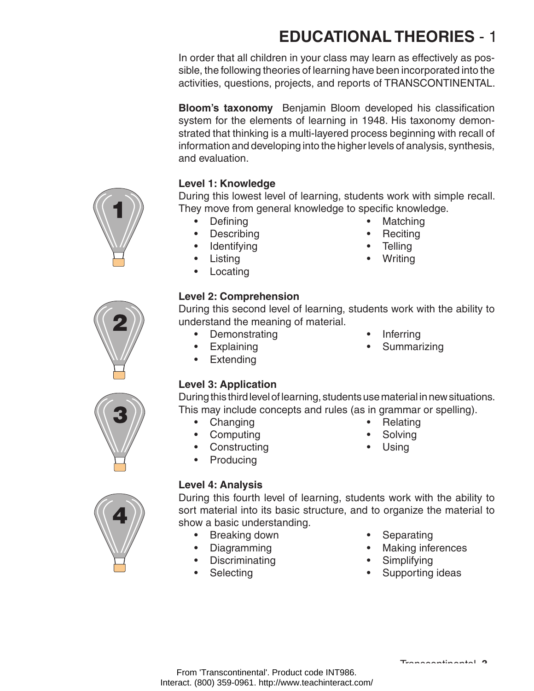# **EDUCATIONAL THEORIES** - 1

In order that all children in your class may learn as effectively as possible, the following theories of learning have been incorporated into the activities, questions, projects, and reports of TRANSCONTINENTAL.

**Bloom's taxonomy** Benjamin Bloom developed his classification system for the elements of learning in 1948. His taxonomy demonstrated that thinking is a multi-layered process beginning with recall of information and developing into the higher levels of analysis, synthesis, and evaluation.

# **Level 1: Knowledge**

During this lowest level of learning, students work with simple recall. They move from general knowledge to specific knowledge.

- Defining **•** Matching
- Describing **•** Reciting
- Identifying **•** Telling
- Listing Writing
- Locating

## **Level 2: Comprehension**

During this second level of learning, students work with the ability to understand the meaning of material.

- Demonstrating **•** Inferring
- 
- Extending
- 
- Explaining Summarizing

## **Level 3: Application**

During this third level of learning, students use material in new situations. This may include concepts and rules (as in grammar or spelling).

- Changing **•** Relating
- Computing Solving
- Constructing Using
- Producing
- 

### **Level 4: Analysis**

During this fourth level of learning, students work with the ability to sort material into its basic structure, and to organize the material to show a basic understanding.

- Breaking down Separating
- 
- Discriminating **•** Simplifying
- 
- 
- Diagramming **•** Making inferences
	-
- Selecting **•** Supporting ideas





Interact. (800) 359-0961. http://www.teachinteract.com/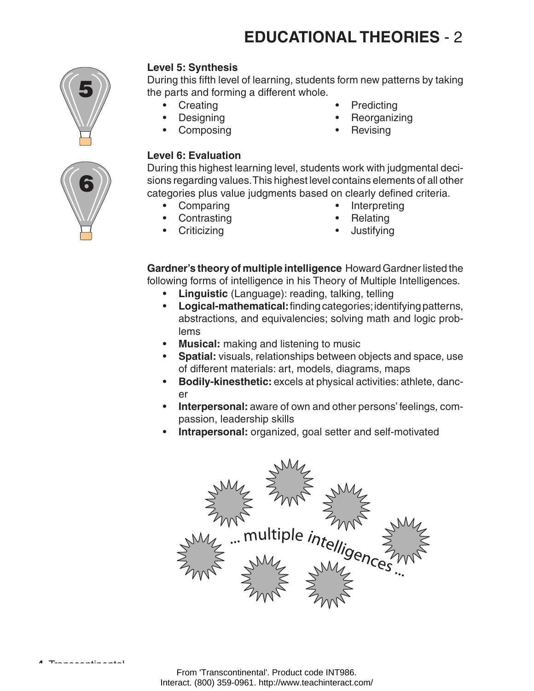# **EDUCATIONAL THEORIES** - 2



### **Level 5: Synthesis**

During this fifth level of learning, students form new patterns by taking the parts and forming a different whole.

- 
- 
- 
- Creating **•** Predicting
- Designing **•** Reorganizing
	- Composing **•** Revising

#### **Level 6: Evaluation**

During this highest learning level, students work with judgmental decisions regarding values. This highest level contains elements of all other categories plus value judgments based on clearly defined criteria.

- 
- Contrasting **•** Relating
- Criticizing Justifying
- Comparing **•** Interpreting
	-
	-

**Gardner's theory of multiple intelligence** Howard Gardner listed the following forms of intelligence in his Theory of Multiple Intelligences.

- **Linguistic** (Language): reading, talking, telling
- • **Logical-mathematical:** finding categories; identifying patterns, abstractions, and equivalencies; solving math and logic problems
- • **Musical:** making and listening to music
- **Spatial:** visuals, relationships between objects and space, use of different materials: art, models, diagrams, maps
- • **Bodily-kinesthetic:** excels at physical activities: athlete, dancer
- **Interpersonal:** aware of own and other persons' feelings, compassion, leadership skills
- • **Intrapersonal:** organized, goal setter and self-motivated



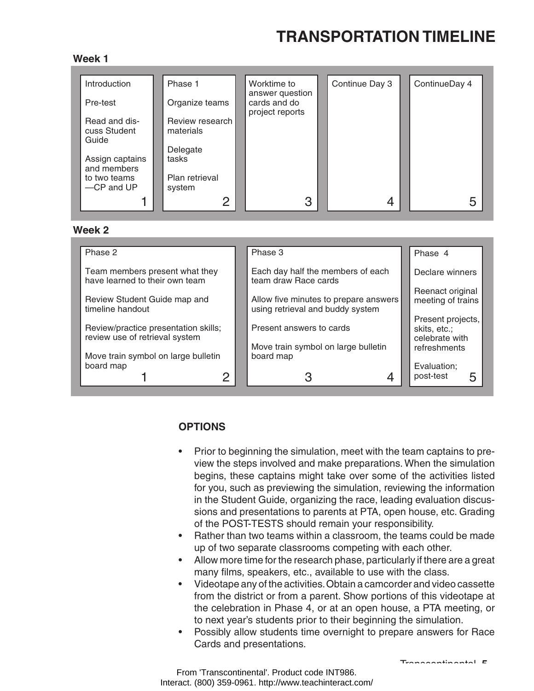# **TRANSPORTATION TIMELINE**

#### **Week 1**

| Introduction                           | Phase 1                      | Worktime to<br>answer question  | Continue Day 3 | ContinueDay 4 |
|----------------------------------------|------------------------------|---------------------------------|----------------|---------------|
| Pre-test                               | Organize teams               | cards and do<br>project reports |                |               |
| Read and dis-<br>cuss Student<br>Guide | Review research<br>materials |                                 |                |               |
| Assign captains<br>and members         | Delegate<br>tasks            |                                 |                |               |
| to two teams<br>-CP and UP             | Plan retrieval<br>system     |                                 |                |               |
|                                        | ⌒                            | 3                               |                | 5             |

#### **Week 2**

| Phase 3                                          | Phase 4                                                       |
|--------------------------------------------------|---------------------------------------------------------------|
| Each day half the members of each                | Declare winners                                               |
|                                                  | Reenact original                                              |
| using retrieval and buddy system                 | meeting of trains<br>Present projects,                        |
| Present answers to cards                         | skits, etc.;<br>celebrate with                                |
| Move train symbol on large bulletin<br>board map | refreshments                                                  |
| 4                                                | Evaluation;<br>post-test<br>5                                 |
|                                                  | team draw Race cards<br>Allow five minutes to prepare answers |

### **OPTIONS**

- Prior to beginning the simulation, meet with the team captains to preview the steps involved and make preparations. When the simulation begins, these captains might take over some of the activities listed for you, such as previewing the simulation, reviewing the information in the Student Guide, organizing the race, leading evaluation discussions and presentations to parents at PTA, open house, etc. Grading of the POST-TESTS should remain your responsibility.
- Rather than two teams within a classroom, the teams could be made up of two separate classrooms competing with each other.
- Allow more time for the research phase, particularly if there are a great many films, speakers, etc., available to use with the class.
- Videotape any of the activities. Obtain a camcorder and video cassette from the district or from a parent. Show portions of this videotape at the celebration in Phase 4, or at an open house, a PTA meeting, or to next year's students prior to their beginning the simulation.
- Possibly allow students time overnight to prepare answers for Race Cards and presentations.

Transcontinental **5**

From 'Transcontinental'. Product code INT986. Interact. (800) 359-0961. http://www.teachinteract.com/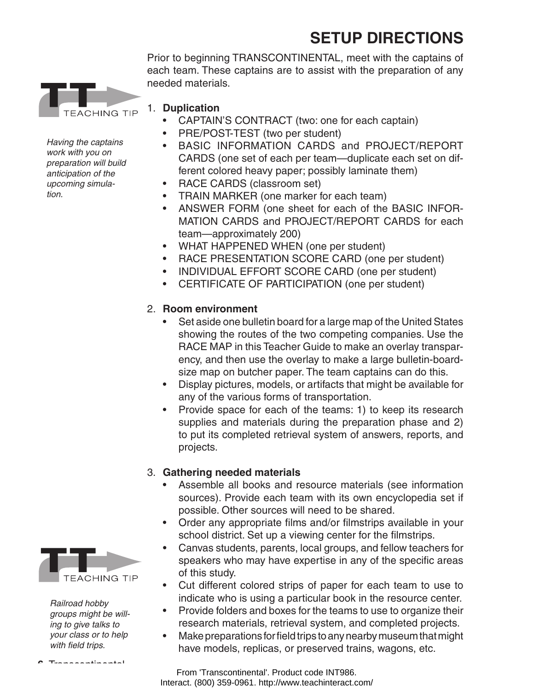# **SETUP DIRECTIONS**

Prior to beginning TRANSCONTINENTAL, meet with the captains of each team. These captains are to assist with the preparation of any needed materials.



- 1. **Duplication**
	- CAPTAIN'S CONTRACT (two: one for each captain)
	- PRE/POST-TEST (two per student)
	- BASIC INFORMATION CARDS and PROJECT/REPORT CARDS (one set of each per team—duplicate each set on different colored heavy paper; possibly laminate them)
	- RACE CARDS (classroom set)
	- TRAIN MARKER (one marker for each team)
	- ANSWER FORM (one sheet for each of the BASIC INFOR-MATION CARDS and PROJECT/REPORT CARDS for each team—approximately 200)
	- WHAT HAPPENED WHEN (one per student)
	- RACE PRESENTATION SCORE CARD (one per student)
	- INDIVIDUAL EFFORT SCORE CARD (one per student)
	- CERTIFICATE OF PARTICIPATION (one per student)

### 2. **Room environment**

- Set aside one bulletin board for a large map of the United States showing the routes of the two competing companies. Use the RACE MAP in this Teacher Guide to make an overlay transparency, and then use the overlay to make a large bulletin-boardsize map on butcher paper. The team captains can do this.
- Display pictures, models, or artifacts that might be available for any of the various forms of transportation.
- Provide space for each of the teams: 1) to keep its research supplies and materials during the preparation phase and 2) to put its completed retrieval system of answers, reports, and projects.

### 3. **Gathering needed materials**

- Assemble all books and resource materials (see information sources). Provide each team with its own encyclopedia set if possible. Other sources will need to be shared.
- Order any appropriate films and/or filmstrips available in your school district. Set up a viewing center for the filmstrips.
- Canvas students, parents, local groups, and fellow teachers for speakers who may have expertise in any of the specific areas of this study.
- • Cut different colored strips of paper for each team to use to indicate who is using a particular book in the resource center.
- Provide folders and boxes for the teams to use to organize their research materials, retrieval system, and completed projects.
- Make preparations for field trips to any nearby museum that might have models, replicas, or preserved trains, wagons, etc.

From 'Transcontinental'. Product code INT986. Interact. (800) 359-0961. http://www.teachinteract.com/



*Railroad hobby groups might be willing to give talks to your class or to help with field trips.*

 **6** Transcontinental

*Having the captains work with you on preparation will build anticipation of the upcoming simulation.*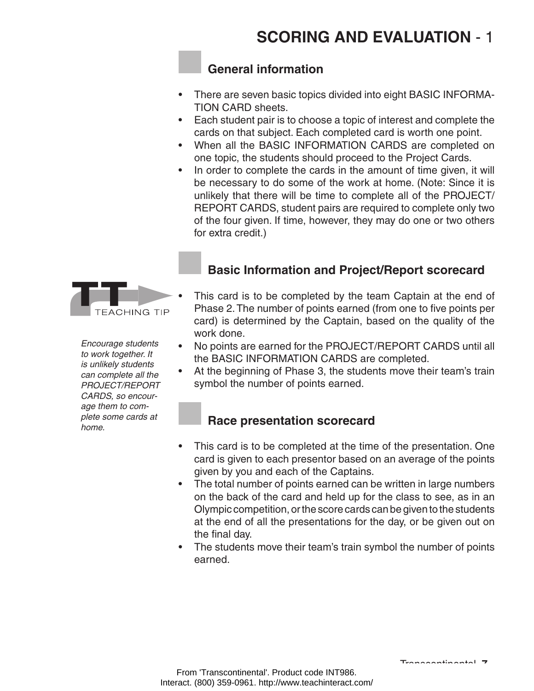# **General information**

- There are seven basic topics divided into eight BASIC INFORMA-TION CARD sheets.
- Each student pair is to choose a topic of interest and complete the cards on that subject. Each completed card is worth one point.
- When all the BASIC INFORMATION CARDS are completed on one topic, the students should proceed to the Project Cards.
- In order to complete the cards in the amount of time given, it will be necessary to do some of the work at home. (Note: Since it is unlikely that there will be time to complete all of the PROJECT/ REPORT CARDS, student pairs are required to complete only two of the four given. If time, however, they may do one or two others for extra credit.)

# **Basic Information and Project/Report scorecard**

- This card is to be completed by the team Captain at the end of Phase 2.The number of points earned (from one to five points per card) is determined by the Captain, based on the quality of the work done.
- No points are earned for the PROJECT/REPORT CARDS until all the BASIC INFORMATION CARDS are completed.
- At the beginning of Phase 3, the students move their team's train symbol the number of points earned.

### **Race presentation scorecard**

- This card is to be completed at the time of the presentation. One card is given to each presentor based on an average of the points given by you and each of the Captains.
- The total number of points earned can be written in large numbers on the back of the card and held up for the class to see, as in an Olympic competition, or the score cards can be given to the students at the end of all the presentations for the day, or be given out on the final day.
- The students move their team's train symbol the number of points earned.

*Encourage students to work together. It is unlikely students can complete all the PROJECT/REPORT CARDS, so encourage them to complete some cards at home.*

**TEACHING TIP**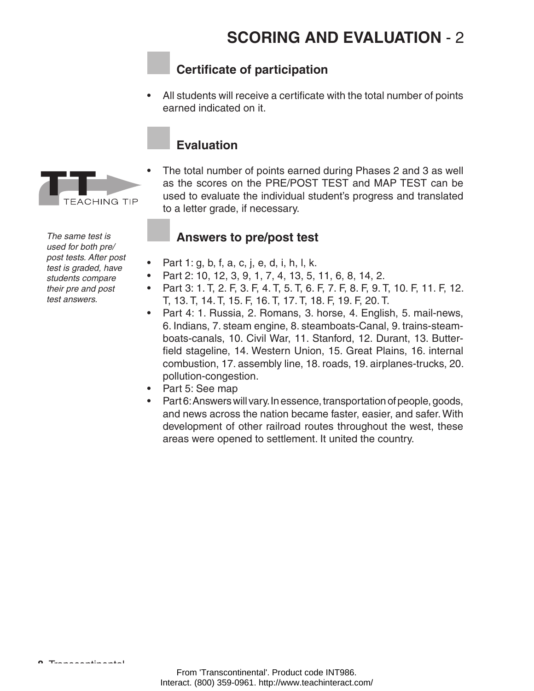# **SCORING AND EVALUATION** - 2

### **Certificate of participation**

All students will receive a certificate with the total number of points earned indicated on it.

### **Evaluation**

The total number of points earned during Phases 2 and 3 as well as the scores on the PRE/POST TEST and MAP TEST can be used to evaluate the individual student's progress and translated to a letter grade, if necessary.

### **Answers to pre/post test**

- Part 1: g, b, f, a, c, j, e, d, i, h, l, k.
- Part 2: 10, 12, 3, 9, 1, 7, 4, 13, 5, 11, 6, 8, 14, 2.
- Part 3: 1. T, 2. F, 3. F, 4. T, 5. T, 6. F, 7. F, 8. F, 9. T, 10. F, 11. F, 12. T, 13. T, 14. T, 15. F, 16. T, 17. T, 18. F, 19. F, 20. T.
- Part 4: 1. Russia, 2. Romans, 3. horse, 4. English, 5. mail-news, 6. Indians, 7. steam engine, 8. steamboats-Canal, 9. trains-steamboats-canals, 10. Civil War, 11. Stanford, 12. Durant, 13. Butterfield stageline, 14. Western Union, 15. Great Plains, 16. internal combustion, 17. assembly line, 18. roads, 19. airplanes-trucks, 20. pollution-congestion.
- Part 5: See map
- Part 6: Answers will vary. In essence, transportation of people, goods, and news across the nation became faster, easier, and safer. With development of other railroad routes throughout the west, these areas were opened to settlement. It united the country.

*The same test is used for both pre/ post tests. After post test is graded, have students compare their pre and post test answers.*

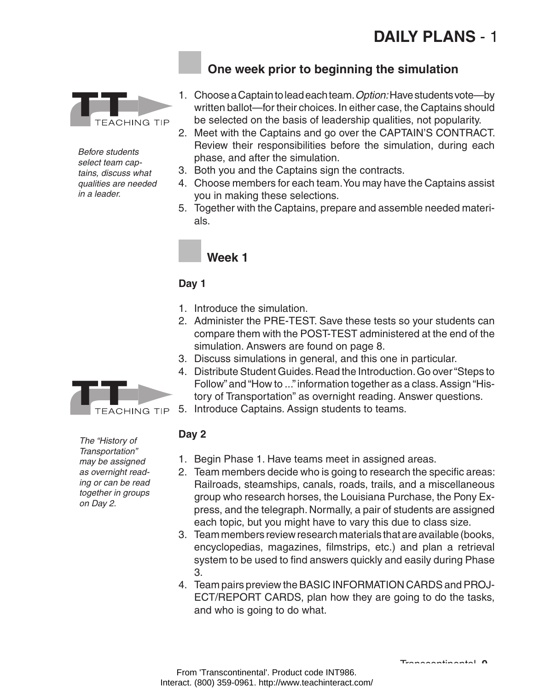# **DAILY PLANS** - 1



*Before students select team captains, discuss what qualities are needed in a leader.* 

# **One week prior to beginning the simulation**

- 1. Choose a Captain to lead each team. *Option:* Have students vote—by written ballot—for their choices. In either case, the Captains should be selected on the basis of leadership qualities, not popularity.
- 2. Meet with the Captains and go over the CAPTAIN'S CONTRACT. Review their responsibilities before the simulation, during each phase, and after the simulation.
- 3. Both you and the Captains sign the contracts.
- 4. Choose members for each team. You may have the Captains assist you in making these selections.
- 5. Together with the Captains, prepare and assemble needed materials.

# **Week 1**

### **Day 1**

- 1. Introduce the simulation.
- 2. Administer the PRE-TEST. Save these tests so your students can compare them with the POST-TEST administered at the end of the simulation. Answers are found on page 8.
- 3. Discuss simulations in general, and this one in particular.
- 4. Distribute Student Guides. Read the Introduction. Go over "Steps to Follow" and "How to ..." information together as a class. Assign "History of Transportation" as overnight reading. Answer questions.
- 5. Introduce Captains. Assign students to teams.

#### **Day 2**

- 1. Begin Phase 1. Have teams meet in assigned areas.
- 2. Team members decide who is going to research the specific areas: Railroads, steamships, canals, roads, trails, and a miscellaneous group who research horses, the Louisiana Purchase, the Pony Express, and the telegraph. Normally, a pair of students are assigned each topic, but you might have to vary this due to class size.
- 3. Team members review research materials that are available (books, encyclopedias, magazines, filmstrips, etc.) and plan a retrieval system to be used to find answers quickly and easily during Phase 3.
- 4. Team pairs preview the BASIC INFORMATION CARDS and PROJ-ECT/REPORT CARDS, plan how they are going to do the tasks, and who is going to do what.



*The "History of Transportation" may be assigned as overnight reading or can be read together in groups on Day 2.*